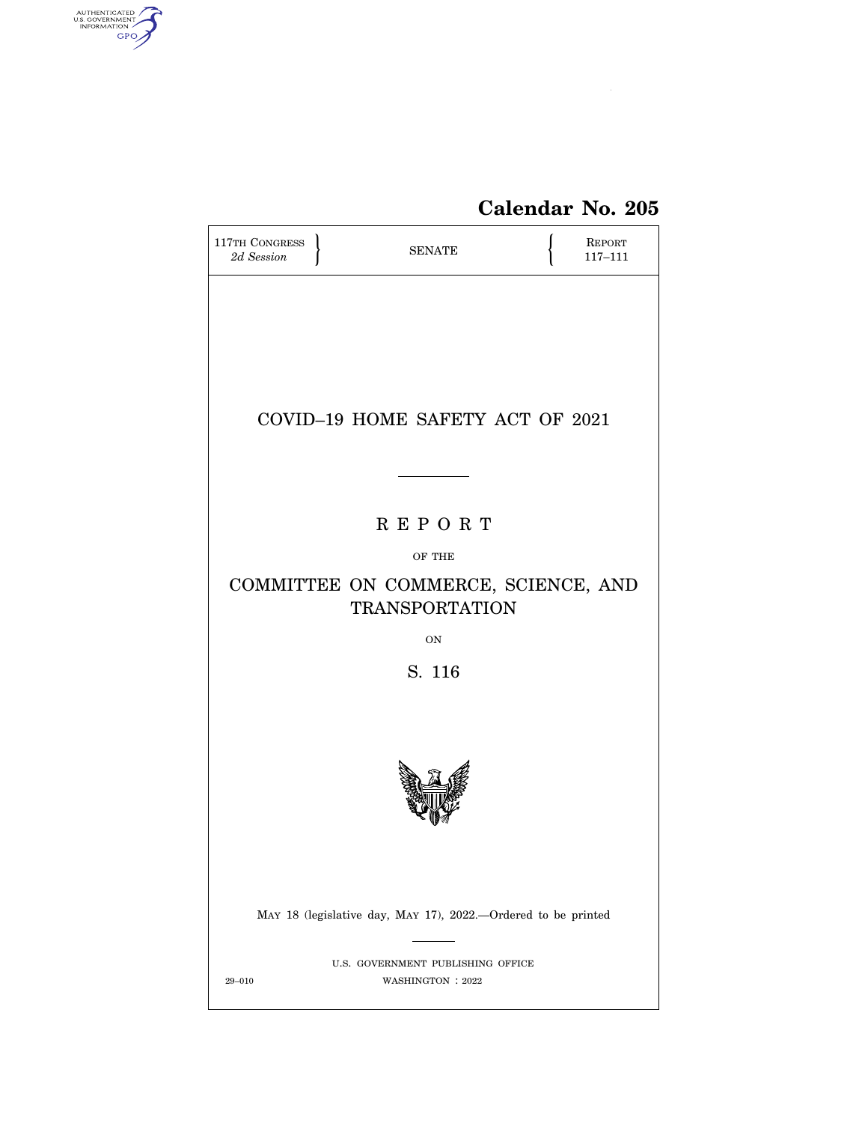

# **Calendar No. 205**

| 117TH CONGRESS<br>2d Session | <b>SENATE</b>                                                  |  | <b>REPORT</b><br>$117 - 111$ |  |  |
|------------------------------|----------------------------------------------------------------|--|------------------------------|--|--|
|                              |                                                                |  |                              |  |  |
|                              |                                                                |  |                              |  |  |
|                              |                                                                |  |                              |  |  |
|                              | COVID-19 HOME SAFETY ACT OF 2021                               |  |                              |  |  |
|                              |                                                                |  |                              |  |  |
| <b>REPORT</b>                |                                                                |  |                              |  |  |
|                              | OF THE                                                         |  |                              |  |  |
|                              | COMMITTEE ON COMMERCE, SCIENCE, AND<br><b>TRANSPORTATION</b>   |  |                              |  |  |
|                              | <b>ON</b>                                                      |  |                              |  |  |
|                              | S. 116                                                         |  |                              |  |  |
|                              |                                                                |  |                              |  |  |
|                              |                                                                |  |                              |  |  |
|                              |                                                                |  |                              |  |  |
|                              |                                                                |  |                              |  |  |
|                              | MAY 18 (legislative day, MAY 17), 2022.--Ordered to be printed |  |                              |  |  |
| $29 - 010$                   | U.S. GOVERNMENT PUBLISHING OFFICE<br>WASHINGTON : 2022         |  |                              |  |  |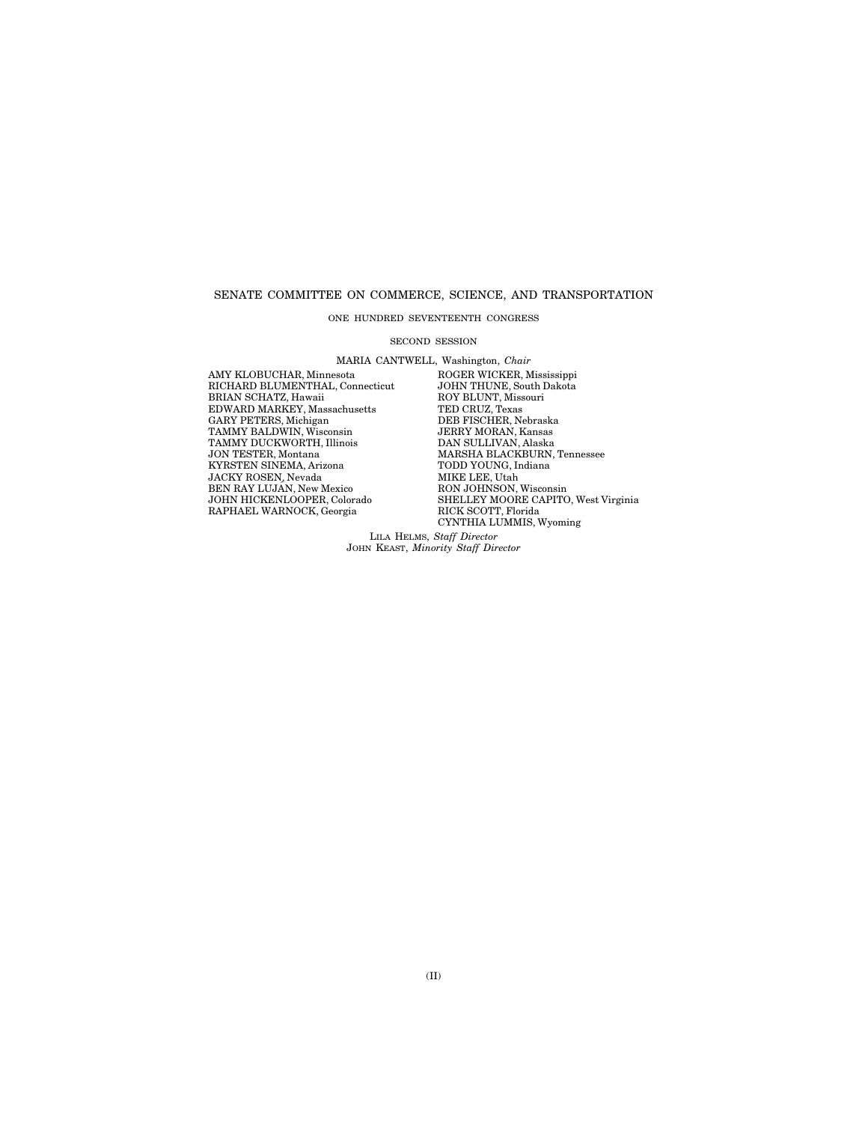#### SENATE COMMITTEE ON COMMERCE, SCIENCE, AND TRANSPORTATION

# ONE HUNDRED SEVENTEENTH CONGRESS

#### SECOND SESSION

MARIA CANTWELL, Washington, *Chair* 

RICHARD BLUMENTHAL, Connecticut JOHN THUNE, South I<br>BRIAN SCHATZ, Hawaii ROY BLUNT, Missouri BRIAN SCHATZ, Hawaii ROY BLUNT, Miss<br>EDWARD MARKEY, Massachusetts TED CRUZ, Texas EDWARD MARKEY, Massachusetts TED CRUZ, Texas GARY PETERS, Michigan DEB FISCHER, Nebraska TAMMY BALDWIN, Wisconsin JERRY MORAN, Kansas GARY PETERS, Michigan DEB FISCHER, Nebraska TAMMY BALDWIN, Wisconsin JERRY MORAN, Kansas TAMMY DUCKWORTH, Illinois **DAN SULLIVAN, Alaska JON TESTER, Montana** MARSHA BLACKBURN, KYRSTEN SINEMA, Arizona TODD YOUNG, I<br/>n $\,$  JACKY ROSEN, Nevada $\,$  MIKE LEE, Utah JACKY ROSEN, Nevada BEN RAY LUJÁN, New Mexico<br>JOHN HICKENLOOPER, Colorado RAPHAEL WARNOCK, Georgia

AMY KLOBUCHAR, Minnesota ROGER WICKER, Mississippi MARSHA BLACKBURN, Tennessee<br>TODD YOUNG, Indiana MIAE LEE, UGAN<br>RON JOHN SON, Wisconsin<br>SHELLEY MOORE CAPITO, West Virginia<br>RICK SCOTT, Florida CYNTHIA LUMMIS, Wyoming

LILA HELMS, *Staff Director*  JOHN KEAST, *Minority Staff Director*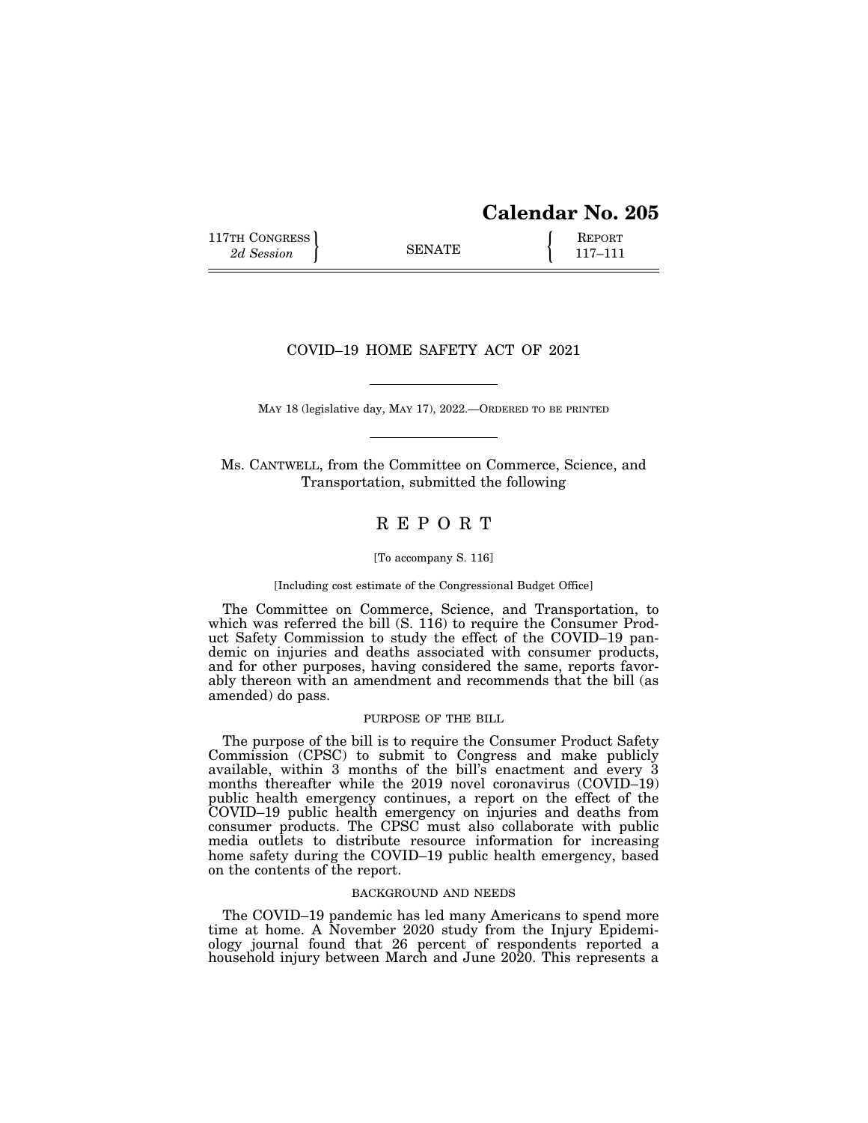117TH CONGRESS **REPORT** 2d Session **117–111** 

# COVID–19 HOME SAFETY ACT OF 2021

MAY 18 (legislative day, MAY 17), 2022.—ORDERED TO BE PRINTED

Ms. CANTWELL, from the Committee on Commerce, Science, and Transportation, submitted the following

# R E P O R T

#### [To accompany S. 116]

#### [Including cost estimate of the Congressional Budget Office]

The Committee on Commerce, Science, and Transportation, to which was referred the bill (S. 116) to require the Consumer Product Safety Commission to study the effect of the COVID–19 pandemic on injuries and deaths associated with consumer products, and for other purposes, having considered the same, reports favorably thereon with an amendment and recommends that the bill (as amended) do pass.

# PURPOSE OF THE BILL

The purpose of the bill is to require the Consumer Product Safety Commission (CPSC) to submit to Congress and make publicly available, within 3 months of the bill's enactment and every 3 months thereafter while the 2019 novel coronavirus (COVID–19) public health emergency continues, a report on the effect of the COVID–19 public health emergency on injuries and deaths from consumer products. The CPSC must also collaborate with public media outlets to distribute resource information for increasing home safety during the COVID–19 public health emergency, based on the contents of the report.

#### BACKGROUND AND NEEDS

The COVID–19 pandemic has led many Americans to spend more time at home. A November 2020 study from the Injury Epidemiology journal found that 26 percent of respondents reported a household injury between March and June 2020. This represents a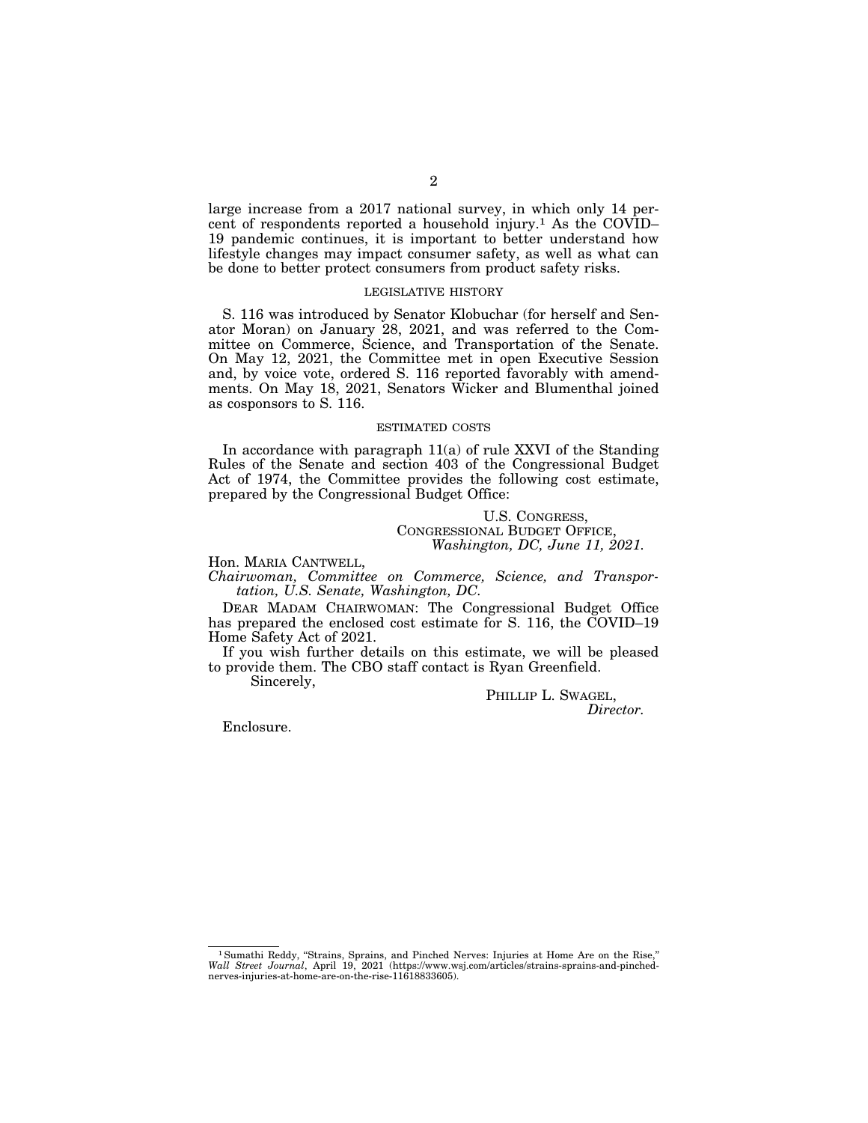large increase from a 2017 national survey, in which only 14 percent of respondents reported a household injury.1 As the COVID– 19 pandemic continues, it is important to better understand how lifestyle changes may impact consumer safety, as well as what can be done to better protect consumers from product safety risks.

# LEGISLATIVE HISTORY

S. 116 was introduced by Senator Klobuchar (for herself and Senator Moran) on January 28, 2021, and was referred to the Committee on Commerce, Science, and Transportation of the Senate. On May 12, 2021, the Committee met in open Executive Session and, by voice vote, ordered S. 116 reported favorably with amendments. On May 18, 2021, Senators Wicker and Blumenthal joined as cosponsors to S. 116.

#### ESTIMATED COSTS

In accordance with paragraph 11(a) of rule XXVI of the Standing Rules of the Senate and section 403 of the Congressional Budget Act of 1974, the Committee provides the following cost estimate, prepared by the Congressional Budget Office:

# U.S. CONGRESS, CONGRESSIONAL BUDGET OFFICE, *Washington, DC, June 11, 2021.*

Hon. MARIA CANTWELL, *Chairwoman, Committee on Commerce, Science, and Transportation, U.S. Senate, Washington, DC.* 

DEAR MADAM CHAIRWOMAN: The Congressional Budget Office has prepared the enclosed cost estimate for S. 116, the COVID–19 Home Safety Act of 2021.

If you wish further details on this estimate, we will be pleased to provide them. The CBO staff contact is Ryan Greenfield.

Sincerely,

PHILLIP L. SWAGEL, *Director.* 

Enclosure.

<sup>&</sup>lt;sup>1</sup> Sumathi Reddy, "Strains, Sprains, and Pinched Nerves: Injuries at Home Are on the Rise," *Wall Street Journal*, April 19, 2021 (https://www.wsj.com/articles/strains-sprains-and-pinchednerves-injuries-at-home-are-on-the-rise-11618833605).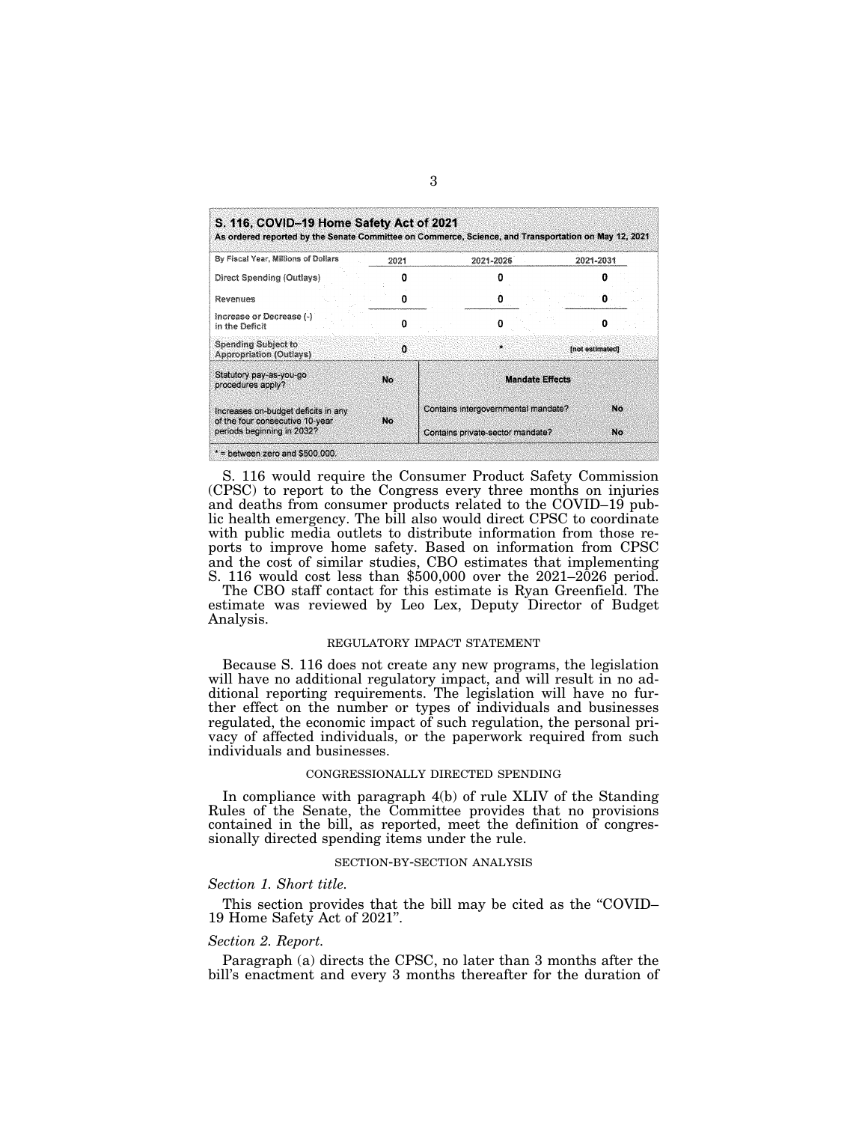| By Fiscal Year, Millions of Dollars                           | 2021 | 2021-2026                           | 2021-2031       |
|---------------------------------------------------------------|------|-------------------------------------|-----------------|
| Direct Spending (Outlays)                                     |      |                                     |                 |
| Revenues                                                      |      |                                     |                 |
| Increase or Decrease (-)<br>in the Deficit                    | Ω    |                                     |                 |
| <b>Spending Subject to</b><br>Appropriation (Outlays)         | n    |                                     | [not estimated] |
| Statutory pay-as-you-go<br>procedures apply?                  | No.  | <b>Mandate Effects</b>              |                 |
| Increases on-budget deficits in any.                          |      | Contains intergovernmental mandate? | No              |
| of the four consecutive 10-year<br>periods beginning in 2032? | No   | Contains private-sector mandate?    | No              |

S. 116 would require the Consumer Product Safety Commission (CPSC) to report to the Congress every three months on injuries and deaths from consumer products related to the COVID–19 public health emergency. The bill also would direct CPSC to coordinate with public media outlets to distribute information from those reports to improve home safety. Based on information from CPSC and the cost of similar studies, CBO estimates that implementing S. 116 would cost less than \$500,000 over the 2021–2026 period.

The CBO staff contact for this estimate is Ryan Greenfield. The estimate was reviewed by Leo Lex, Deputy Director of Budget Analysis.

#### REGULATORY IMPACT STATEMENT

Because S. 116 does not create any new programs, the legislation will have no additional regulatory impact, and will result in no additional reporting requirements. The legislation will have no further effect on the number or types of individuals and businesses regulated, the economic impact of such regulation, the personal privacy of affected individuals, or the paperwork required from such individuals and businesses.

# CONGRESSIONALLY DIRECTED SPENDING

In compliance with paragraph 4(b) of rule XLIV of the Standing Rules of the Senate, the Committee provides that no provisions contained in the bill, as reported, meet the definition of congressionally directed spending items under the rule.

# SECTION-BY-SECTION ANALYSIS

#### *Section 1. Short title.*

This section provides that the bill may be cited as the "COVID– 19 Home Safety Act of 2021''.

#### *Section 2. Report.*

Paragraph (a) directs the CPSC, no later than 3 months after the bill's enactment and every 3 months thereafter for the duration of